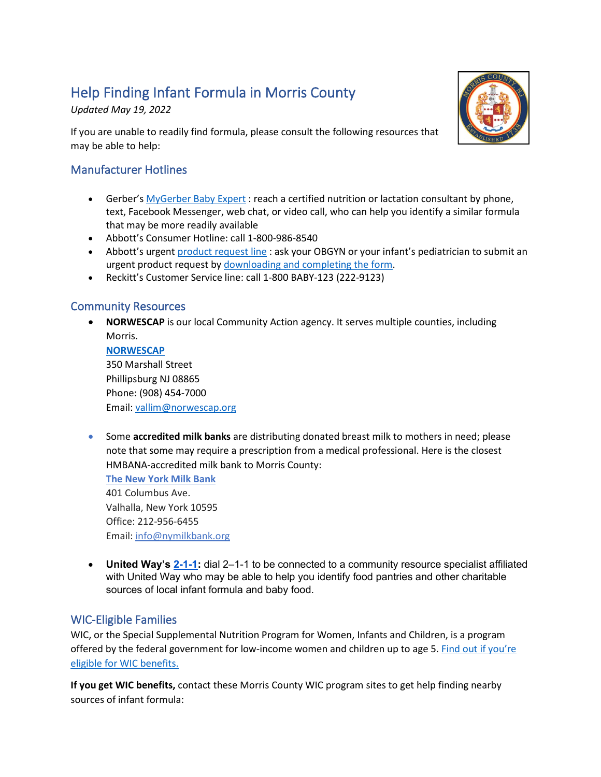# Help Finding Infant Formula in Morris County

*Updated May 19, 2022*

If you are unable to readily find formula, please consult the following resources that may be able to help:



# Manufacturer Hotlines

- Gerber's [MyGerber Baby Expert](https://www.gerber.com/mygerber-baby-expert) : reach a certified nutrition or lactation consultant by phone, text, Facebook Messenger, web chat, or video call, who can help you identify a similar formula that may be more readily available
- Abbott's Consumer Hotline: call 1-800-986-8540
- Abbott's urgent [product request line](https://abbottnutrition.com/metabolics) : ask your OBGYN or your infant's pediatrician to submit an urgent product request by [downloading and completing the form.](https://static.abbottnutrition.com/cms-prod/abbottnutrition-2016.com/img/22-PSN-C_Print-Metabolics_Urgent_Product_RequestForm_FA04a.pdf)
- Reckitt's Customer Service line: call 1-800 BABY-123 (222-9123)

## Community Resources

- **NORWESCAP** is our local Community Action agency. It serves multiple counties, including Morris. **[NORWESCAP](http://www.norwescap.org/)** 350 Marshall Street Phillipsburg NJ 08865 Phone: (908) 454-7000 Email: [vallim@norwescap.org](mailto:vallim@norwescap.org)
- Some **accredited milk banks** are distributing donated breast milk to mothers in need; please note that some may require a prescription from a medical professional. Here is the closest HMBANA-accredited milk bank to Morris County:

**[The New York Milk Bank](http://www.nymilkbank.org/)** 401 Columbus Ave. Valhalla, New York 10595 Office: 212-956-6455 Email: [info@nymilkbank.org](mailto:info@nymilkbank.org)

• **United Way's [2-1-1:](https://www.211.org/about-us/your-local-211)** dial 2–1-1 to be connected to a community resource specialist affiliated with United Way who may be able to help you identify food pantries and other charitable sources of local infant formula and baby food.

## WIC-Eligible Families

WIC, or the Special Supplemental Nutrition Program for Women, Infants and Children, is a program offered by the federal government for low-income women and children up to age 5. [Find out if you're](https://www.fns.usda.gov/wic)  [eligible for WIC benefits.](https://www.fns.usda.gov/wic)

**If you get WIC benefits,** contact these Morris County WIC program sites to get help finding nearby sources of infant formula: